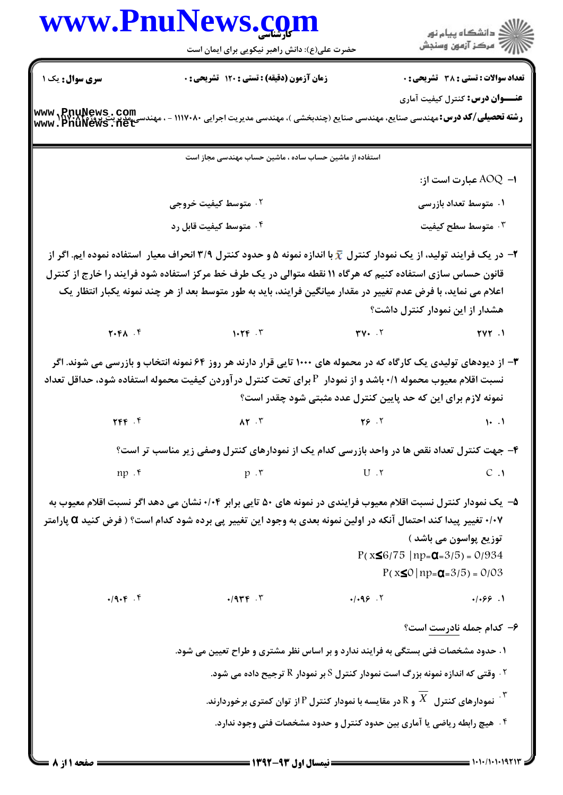

**= نیمسال اول ۹۳-۱۳۹۲ =** 

صفحه 1 از 8 =

## www.PnuNews.co حضرت علی(ع): دانش راهبر نیکویی برای ایمان است سری سوال : یک ۱ زمان آزمون (دقیقه) : تستی ; 120 تشریحی ; . **عنـــوان درس:** کنترل کیفیت آماری استفاده از ماشین حساب ساده ، ماشین حساب مهندسی مجاز است ۰۲ متوسط کیفیت خروج**ی** ۰۴ متوسط کیفیت قابل رد در یک فرایند تولید، از یک نمودار کنترل  $\bar{x}$  با اندازه نمونه ۵ و حدود کنترل ۳/۹ انحراف معیار استفاده نموده ایم. اگر از  $\pm$ قانون حساس سازی استفاده کنیم که هرگاه ۱۱ نقطه متوالی در یک طرف خط مرکز استفاده شود فرایند را خارج از کنترل اعلام می نماید، با فرض عدم تغییر در مقدار میانگین فرایند، باید به طور متوسط بعد از هر چند نمونه یکبار انتظار یک  $Y.FA . F$  $1.79.7$  $TV.$   $.7$

هشدار از این نمودار کنترل داشت؟  $TVY$ . ۳- از دیودهای تولیدی یک کارگاه که در محموله های ۱۰۰۰ تایی قرار دارند هر روز ۶۴ نمونه انتخاب و بازرسی می شوند. اگر نسبت اقلام معیوب محموله ۰/۱ باشد و از نمودار P برای تحت کنترل درآوردن کیفیت محموله استفاده شود، حداقل تعداد نمونه لازم برای این که حد پایین کنترل عدد مثبتی شود چقدر است؟  $YFF$ .  $AY.7$  $YS \cdot Y$  $1.1$ ۴- جهت کنترل تعداد نقص ها در واحد بازرسی کدام یک از نمودارهای کنترل وصفی زیر مناسب تر است؟  $np \cdot f$  $U \cdot Y$  $C.1$  $p \cdot r$ ۵– یک نمودار کنترل نسبت اقلام معیوب فرایندی در نمونه های ۵۰ تایی برابر ۰/۰۴ نشان می دهد اگر نسبت اقلام معیوب به ۰/۰۷ تغییر پیدا کند احتمال آنکه در اولین نمونه بعدی به وجود این تغییر پی برده شود کدام است؟ ( فرض کنید Q پارامتر توزیع پواسون می باشد )  $P(x \le 6/75 | np = \alpha = 3/5) = 0/934$  $P(x \le 0 | np = \mathbf{Q} = 3/5) = 0/03$  $.19.5.7$  $.1.99.7$  $.1.99.1$  $.1944$ . ۶– کدام جمله نادرست است؟ ۱. حدود مشخصات فنی بستگی به فرایند ندارد و بر اساس نظر مشتری و طراح تعیین می شود.  $^\circ$ ۰۲ وقتی که اندازه نمونه بزرگ است نمودار کنترل S بر نمودار R ترجیح داده می شود.  $^\circ$ نمودارهای کنترل  $\bar{X}$  و  $\bar{R}$  در مقایسه با نمودار کنترل  $P$  از توان کمتری برخوردارند.  $^{\mathrm{Y}}$ ۰۴ هیچ رابطه ریاضی یا آماری بین حدود کنترل و حدود مشخصات فنی وجود ندارد.

www.PnuNews.com **رشته تحصیلی/کد درس:**مهندسی صنایع، مهندسی صنایع (چندبخشی )، مهندسی مدیریت اجرایی ۱۱۱۷۰۸۰ - ، مهنده www.PnuNews.net

تعداد سوالات : تستى : 38 - تشريحي : 0

۱− AOQ عبارت است از:

۱. متوسط تعداد بازرسی

۰۳ متوسط سطح کیفیت

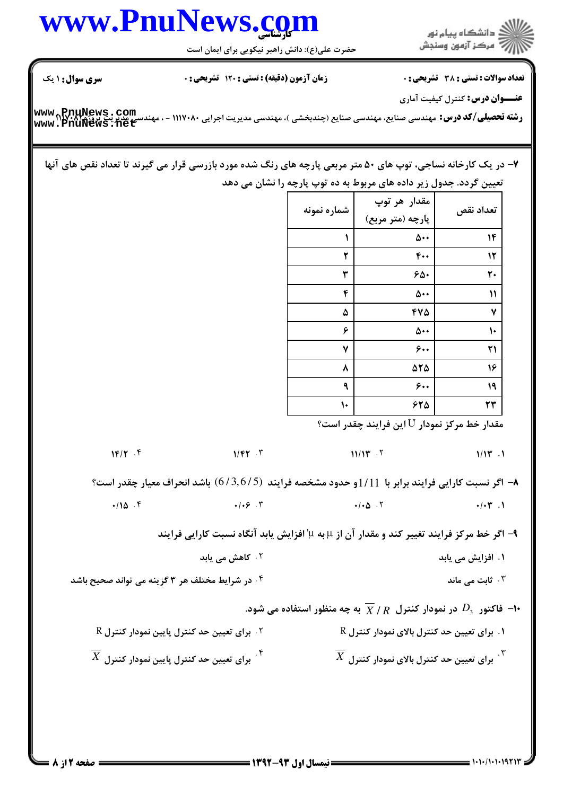## كارشناسي **[www.PnuNews.com](http://www.PnuNews.com)**

حضرت علي(ع): دانش راهبر نيكويي براي ايمان است

ار<br>اگر دانشگاه پیام نور<br>اگر مرکز آزمون وسنجش

نعداد سوالات : تستي : 38 تشريحي : . زمان آزمون (دقيقه) : تستي : 120 تشريحي : . سري سوال : 1 يك

**عنـــوان درس:** کنترل کیفیت آماری

**(شته تحصيلي/كد درس:** مهندسي صنايع، مهندسي صنايع (چندبخشي )، مهندسي مديريت اجرايي ١١٧٠٨٠ - ، مهندسي مديريت پروژد ١٢.٢٩٢ **[www.PnuNews.com](http://pnunews.com) [www.PnuNews.net](http://pnunews.net)**

۷– در یک کارخانه نساجی، توپ های ۵۰ متر مربعی پارچه های رنگ شده مورد بازرسی قرار می گیرند تا تعداد نقص های آنها تعیین گردد. جدول زیر داده های مربوط به ده توپ پارچه را نشان می دهد

| شماره نمونه | مقدار هر توپ<br>پارچه (متر مربع) | تعداد نقص                 |
|-------------|----------------------------------|---------------------------|
| ١           | ۵۰۰                              | ۱۴                        |
| ۲           | 400                              | ۱۲                        |
| ٣           | ۶۵۰                              | ٢٠                        |
| ۴           | ۵۰۰                              | $\boldsymbol{\mathsf{N}}$ |
| ۵           | 470                              | ٧                         |
| ۶           | ۵۰۰                              | ١.                        |
| ۷           | ۶٠.                              | ۲۱                        |
| ۸           | 525                              | ۱۶                        |
| ٩           | ۶٠.                              | ۱۹                        |
| ١٠          | ۶۲۵                              | ۲۳                        |

مقدار خط مرکز نمودار  ${\rm U}$  این فرایند چقدر است؟

۸– اگر نسبت کارایی فرایند برابر با 11/11و حدود مشخصه فرایند (6/3,6/5) باشد انحراف معیار چقدر است؟

$$
\bullet / 10.5
$$

۹- اگر خط مركز فرايند تغيير كند و مقدار آن از μ به μ' افزايش يابد آنگاه نسبت كارايي فرايند

۲. کاهش می یابد .<br>1. افزایش می یابد است. مستقل است که است که از مناطق است که است که است که از مناطق است که است که است که از منا

.K CX- .@ R%\Y ( -\$2 AK . ۰۳ قامت می ماند.<br>۲۰ قامت می ماند

## ا فاکتور  $D_3$  در نمودار کنترل  $\overline{X}$  /  $R$  به چه منظور استفاده می شود. $\bullet$

 $R$  برای تعیین حد کنترل پایین نمودار کنترل  $\cdot$  $\overline{X}$  برای تعیین حد کنترل پایین نمودار کنترل. $^{\mathfrak{X}}$ .<br>۱. برای تعیین حد کنترل بالای نمودار کنترل R  $\overline{Y}$  . The set of  $\overline{Y}$  is the set of  $\overline{Y}$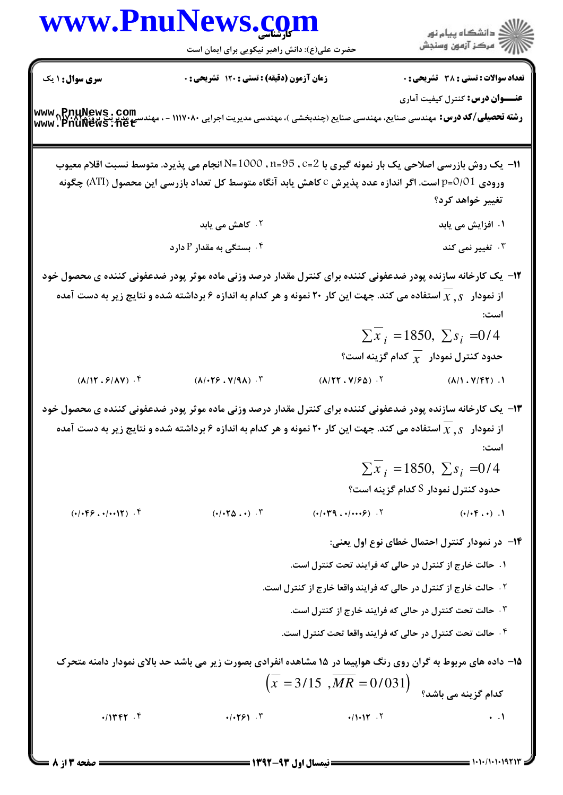| WWW.Pnull           | EW                  | EW |
|---------------------|---------------------|----|
| \n $\frac{1}{2}$ \n | \n $\frac{1}{2}$ \n |    |
| \n $\frac{1}{2}$ \n | \n $\frac{1}{2}$ \n |    |
| \n $\frac{1}{2}$ \n | \n $\frac{1}{2}$ \n |    |
| \n $\frac{1}{2}$ \n | \n $\frac{1}{2}$ \n |    |
| \n $\frac{1}{2}$ \n | \n $\frac{1}{2}$ \n |    |
| \n $\frac{1}{2}$ \n | \n $\frac{1}{2}$ \n |    |
| \n $\frac{1}{2}$ \n | \n $\frac{1}{2}$ \n |    |
| \n $\frac{1}{2}$ \n | \n $\frac{1}{2}$ \n |    |
| \n $\frac{1}{2}$ \n | \n $\frac{1}{2}$ \n |    |
| \n $\frac{1}{2}$ \n | \n $\frac{1}{2}$ \n |    |
| \n $\frac{1}{2}$ \n | \n $\frac{1}{2}$ \n |    |
| \n $\frac{1}{2}$ \n | \n $\frac{1}{2}$ \n |    |
| \n $\frac{1}{2}$ \n | \n $\frac{1}{2}$ \n |    |
| \n $\frac{1}{2}$ \n | \n $\frac{1}{2}$ \n |    |
| \n $\frac{1}{2}$ \n | \n $\frac{1}{2}$ \n |    |
| \n $\frac{1}{2}$ \n | \n $\frac{1}{2}$ \n |    |
| \n<                 |                     |    |

 $= 1.11/1.111111$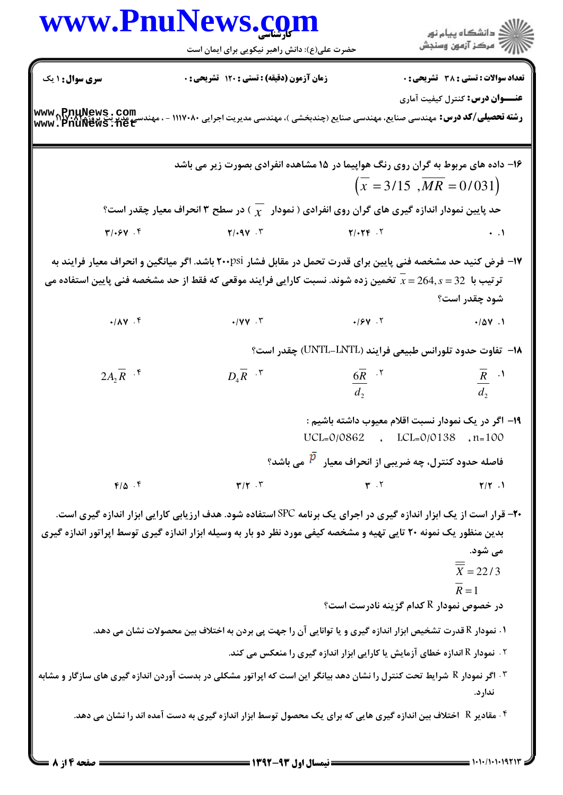| www.PnuNews.com |                                                                                                                                                                                                                                                |                                                                                                    |
|-----------------|------------------------------------------------------------------------------------------------------------------------------------------------------------------------------------------------------------------------------------------------|----------------------------------------------------------------------------------------------------|
|                 | حضرت علی(ع): دانش راهبر نیکویی برای ایمان است                                                                                                                                                                                                  | ِ دانشڪاه پيام نور<br>∭ه مرڪز آزمون وسنڊش                                                          |
| سری سوال: ۱ یک  | زمان آزمون (دقیقه) : تستی : ۱۲۰ تشریحی : ۰                                                                                                                                                                                                     | <b>تعداد سوالات : تستی : 38 تشریحی : 0</b>                                                         |
|                 | <b>رشته تحصیلی/کد درس:</b> مهندسی صنایع، مهندسی صنایع (چندبخشی )، مهندسی مدیریت اجرایی ۱۱۱۷۰۸۰ - ، مهندسی مدیریت پروژه<br>www . PnuNews .net                                                                                                   | <b>عنـــوان درس:</b> کنترل کیفیت آماری                                                             |
|                 | ۱۶- داده های مربوط به گران روی رنگ هواپیما در ۱۵ مشاهده انفرادی بصورت زیر می باشد                                                                                                                                                              |                                                                                                    |
|                 |                                                                                                                                                                                                                                                | $\left(x = 3/15, MR = 0/031\right)$                                                                |
|                 | حد پایین نمودار اندازه گیری های گران روی انفرادی ( نمودار $\sqrt{\chi}$ ) در سطح ۳ انحراف معیار چقدر است؟                                                                                                                                      |                                                                                                    |
| $T/25Y$ .       | $Y/14V \cdot Y$                                                                                                                                                                                                                                | $\ddots$                                                                                           |
|                 | ۱۷– فرض کنید حد مشخصه فنی پایین برای قدرت تحمل در مقابل فشار ۲۰۰psi باشد. اگر میانگین و انحراف معیار فرایند به<br>تر تیب با $\,$ 32 $\,$ 264 $\,$ 25 تخمین زده شوند. نسبت کارایی فرایند موقعی که فقط از حد مشخصه فنی پایین استفاده می          | شود چقدر است؟                                                                                      |
| $4/\lambda V$ . | $\cdot$ /VV. T                                                                                                                                                                                                                                 | .104.1                                                                                             |
|                 |                                                                                                                                                                                                                                                | ۱۸− تفاوت حدود تلورانس طبیعی فرایند (UNTL-LNTL) چقدر است؟                                          |
| $2A_2R$ .*      | $D_4 \overline{R}$ $\cdot$ $\begin{array}{ccc} \n\cdot & \cdot & \cdot & \cdot & \cdot \\ \n\frac{6}{d_2} & \cdot & \cdot & \cdot \n\end{array}$                                                                                               | $\frac{\overline{R}}{d_2}$ .                                                                       |
|                 |                                                                                                                                                                                                                                                |                                                                                                    |
|                 |                                                                                                                                                                                                                                                | ۱۹– اگر در یک نمودار نسبت اقلام معیوب داشته باشیم :<br>$UCL = 0/0862$ . $LCL = 0/0138$ . $n = 100$ |
|                 |                                                                                                                                                                                                                                                | فاصله حدود کنترل، چه ضریبی از انحراف معیار $\,{}^{\,p}\,$ می باشد؟                                 |
| $F/\Delta$ .    | $\mathbf{r}/\mathbf{r}$ . $\mathbf{r}$                                                                                                                                                                                                         | $T \cdot Y$<br>$Y/Y$ .                                                                             |
|                 | <b>-۲-</b> قرار است از یک ابزار اندازه گیری در اجرای یک برنامه SPC استفاده شود. هدف ارزیابی کارایی ابزار اندازه گیری است.<br>بدین منظور یک نمونه ۲۰ تایی تهیه و مشخصه کیفی مورد نظر دو بار به وسیله ابزار اندازه گیری توسط اپراتور اندازه گیری | می شود.<br>$\frac{1}{x} = 22/3$<br>$\overline{R}=1$<br>در خصوص نمودار R کدام گزینه نادرست است؟     |
|                 |                                                                                                                                                                                                                                                |                                                                                                    |
|                 | ۰۱ نمودار R قدرت تشخیص ابزار اندازه گیری و یا توانایی آن را جهت پی بردن به اختلاف بین محصولات نشان می دهد.                                                                                                                                     |                                                                                                    |
|                 | ۰۳ اگر نمودار R شرایط تحت کنترل را نشان دهد بیانگر این است که اپراتور مشکلی در بدست آوردن اندازه گیری های سازگار و مشابه                                                                                                                       | $^\circ$ ۰ نمودار R اندازه خطای آزمایش یا کارایی ابزار اندازه گیری را منعکس می کند. $^\circ$       |
|                 | ۰۴ مقادیر R٪ اختلاف بین اندازه گیری هایی که برای یک محصول توسط ابزار اندازه گیری به دست آمده اند را نشان می دهد.                                                                                                                               | ندارد.                                                                                             |
| = صفحه ۱۴ز ۸    | ــــــــــ نیمسال اول ۹۳-۱۳۹۲ ـــ                                                                                                                                                                                                              | $=$ ۱۰۱۰/۱۰۱۰۹۲۱                                                                                   |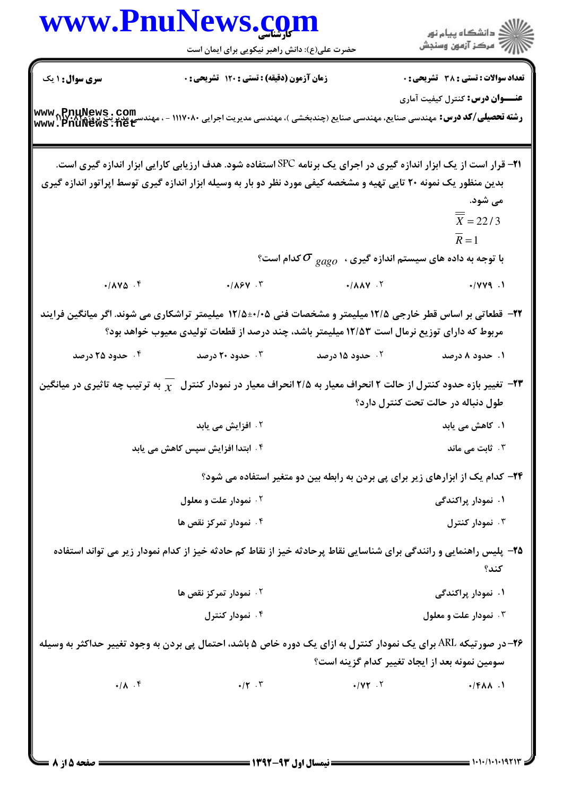| www.PnuNews.com        |                                                                                                                                                                                                                       |                                                                         |                                                                                |
|------------------------|-----------------------------------------------------------------------------------------------------------------------------------------------------------------------------------------------------------------------|-------------------------------------------------------------------------|--------------------------------------------------------------------------------|
|                        | حضرت علی(ع): دانش راهبر نیکویی برای ایمان است                                                                                                                                                                         |                                                                         | )<br>الأخراف الشكاه پيام نور<br>الأخراف المون وسنجش                            |
| <b>سری سوال : ۱ یک</b> | زمان آزمون (دقیقه) : تستی : ۱۲۰ تشریحی : ۰                                                                                                                                                                            |                                                                         | <b>تعداد سوالات : تستی : 38 ٪ تشریحی : 0</b>                                   |
|                        |                                                                                                                                                                                                                       |                                                                         | <b>عنــــوان درس:</b> کنترل کیفیت آماری                                        |
|                        | <b>رشته تحصیلی/کد درس:</b> مهندسی صنایع، مهندسی صنایع (چندبخشی )، مهندسی مدیریت اجرایی ۱۱۱۷۰۸۰ - ، مهندسی مدیریت پروژه<br>www . PnuNews . net                                                                         |                                                                         |                                                                                |
|                        | <b>۲۱</b> - قرار است از یک ابزار اندازه گیری در اجرای یک برنامه SPC استفاده شود. هدف ارزیابی کارایی ابزار اندازه گیری است.                                                                                            |                                                                         |                                                                                |
|                        | بدین منظور یک نمونه ۲۰ تایی تهیه و مشخصه کیفی مورد نظر دو بار به وسیله ابزار اندازه گیری توسط اپراتور اندازه گیری                                                                                                     |                                                                         |                                                                                |
|                        |                                                                                                                                                                                                                       |                                                                         | می شود.                                                                        |
|                        |                                                                                                                                                                                                                       |                                                                         | $\overline{\overline{X}}$ = 22/3                                               |
|                        |                                                                                                                                                                                                                       |                                                                         | $\overline{R}=1$                                                               |
|                        |                                                                                                                                                                                                                       | با توجه به داده های سیستم اندازه گیری ، $\,\sigma_{\,gago}\,$ کدام است؟ |                                                                                |
| $-1000$ .              | $\cdot/ \Lambda$ ۶۷.۳                                                                                                                                                                                                 |                                                                         |                                                                                |
|                        | <b>۲۲</b> - قطعاتی بر اساس قطر خارجی ۱۲/۵ میلیمتر و مشخصات فنی ۰/۰۵±۱۲/۵ میلیمتر تراشکاری می شوند. اگر میانگین فرایند<br>مربوط که دارای توزیع نرمال است ۱۲/۵۳ میلیمتر باشد، چند درصد از قطعات تولیدی معیوب خواهد بود؟ |                                                                         |                                                                                |
| ۰۴ حدود ۲۵ درصد        | ۰۳ حدود ۲۰ درصد                                                                                                                                                                                                       | ۰۲ حدود ۱۵ درصد                                                         | ۰۱ حدود ۸ درصد                                                                 |
|                        | قغییر بازه حدود کنترل از حالت ۲ انحراف معیار به ۲/۵ انحراف معیار در نمودار کنترل $\chi$ به ترتیب چه تاثیری در میانگین $-$ ۳                                                                                           |                                                                         | طول دنباله در حالت تحت کنترل دارد؟                                             |
|                        | ۰۲ افزایش می یابد                                                                                                                                                                                                     |                                                                         | ۱. کاهش می یابد                                                                |
|                        | ۰۴ ابتدا افزایش سپس کاهش می یابد                                                                                                                                                                                      |                                                                         | ۰۳ ثابت می ماند                                                                |
|                        |                                                                                                                                                                                                                       |                                                                         | ۲۴– کدام یک از ابزارهای زیر برای پی بردن به رابطه بین دو متغیر استفاده می شود؟ |
|                        | ۰۲ نمودار علت و معلول                                                                                                                                                                                                 |                                                                         | ۰۱ نمودار پراکندگی                                                             |
|                        | ۰۴ نمودار تمرکز نقص ها                                                                                                                                                                                                |                                                                         | ۰۳ نمودار کنترل                                                                |
|                        | ۲۵– پلیس راهنمایی و رانندگی برای شناسایی نقاط پرحادثه خیز از نقاط کم حادثه خیز از کدام نمودار زیر می تواند استفاده                                                                                                    |                                                                         |                                                                                |
|                        |                                                                                                                                                                                                                       |                                                                         | كند؟                                                                           |
|                        | ۰۲ نمودار تمرکز نقص ها                                                                                                                                                                                                |                                                                         | ۱. نمودار پراکندگی                                                             |
|                        | ۰۴ نمودار کنترل                                                                                                                                                                                                       |                                                                         | ۰۳ نمودار علت و معلول                                                          |
|                        | <b>۲۶</b> -در صورتیکه ARL برای یک نمودار کنترل به ازای یک دوره خاص ۵ باشد، احتمال پی بردن به وجود تغییر حداکثر به وسیله                                                                                               |                                                                         | سومین نمونه بعد از ایجاد تغییر کدام گزینه است؟                                 |
| $\cdot/\lambda$ . ۴    | $\mathbf{H} \cdot \mathbf{r}$                                                                                                                                                                                         | $\cdot$ / $\gamma\gamma$ .                                              | $-(FAA)$                                                                       |
|                        |                                                                                                                                                                                                                       |                                                                         |                                                                                |

 $= 1.11/(1.11971)$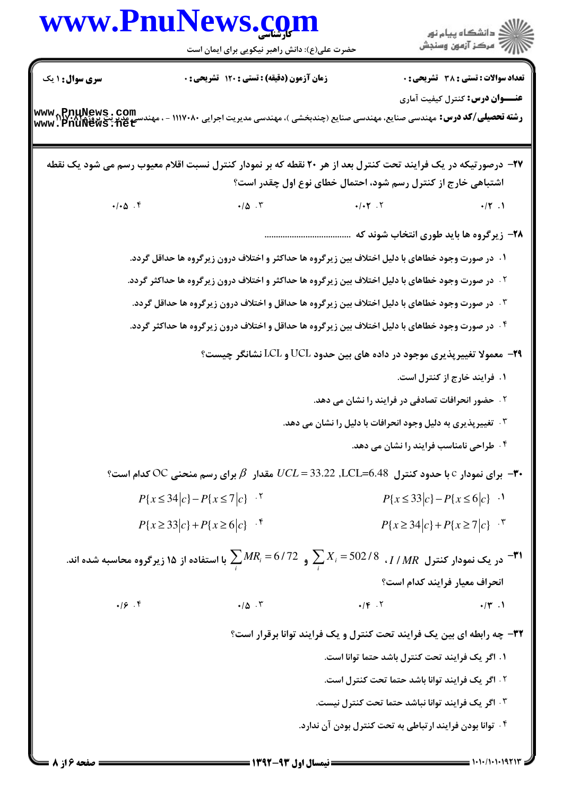**= صفحه ۱۶ز 8 =**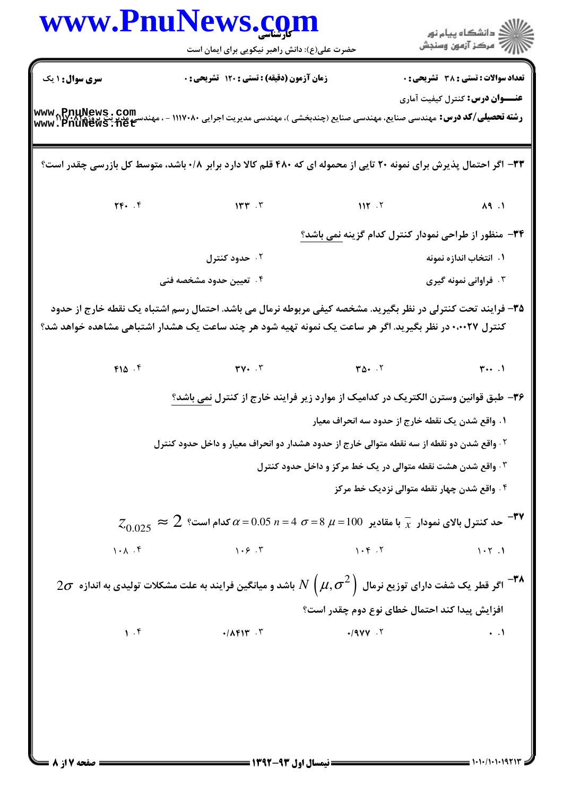| سری سوال: ۱ یک |       | حضرت علی(ع): دانش راهبر نیکویی برای ایمان است                                                                                                                                                                           |           | ر<br>راڳ دانشڪاه پيام نور<br>راڳ مرڪز آزمون وسنڊش           |
|----------------|-------|-------------------------------------------------------------------------------------------------------------------------------------------------------------------------------------------------------------------------|-----------|-------------------------------------------------------------|
|                |       | زمان آزمون (دقیقه) : تستی : ۱۲۰ تشریحی : ۰                                                                                                                                                                              |           | <b>تعداد سوالات : تستی : 38 - تشریحی : 0</b>                |
|                |       | رشته تحصیلی/کد درس: مهندسی صنایع، مهندسی صنایع (چندبخشی )، مهندسی مدیریت اجرایی ۱۱۱۷۰۸۰ - ، مهندسی مدیریتی پروژی<br>Www . PnuNews .net                                                                                  |           | <b>عنـــوان درس:</b> کنترل کیفیت آماری                      |
|                |       |                                                                                                                                                                                                                         |           |                                                             |
|                |       | ۳۳- اگر احتمال پذیرش برای نمونه ۲۰ تایی از محموله ای که ۴۸۰ قلم کالا دارد برابر ۰/۸ باشد، متوسط کل بازرسی چقدر است؟                                                                                                     |           |                                                             |
|                |       |                                                                                                                                                                                                                         |           |                                                             |
|                |       |                                                                                                                                                                                                                         |           | ۳۴- منظور از طراحی نمودار کنترل کدام گزینه نمی باشد؟        |
|                |       | ۰۲ حدود کنترل                                                                                                                                                                                                           |           | ۰۱ انتخاب اندازه نمونه                                      |
|                |       | ۰۴ تعیین حدود مشخصه فنی                                                                                                                                                                                                 |           | ۰۳ فراوانی نمونه گیری                                       |
|                |       | ۳۵- فرایند تحت کنترلی در نظر بگیرید. مشخصه کیفی مربوطه نرمال می باشد. احتمال رسم اشتباه یک نقطه خارج از حدود<br>کنترل ۰٬۰۰۲۷ در نظر بگیرید. اگر هر ساعت یک نمونه تهیه شود هر چند ساعت یک هشدار اشتباهی مشاهده خواهد شد؟ |           |                                                             |
|                |       |                                                                                                                                                                                                                         |           |                                                             |
|                |       | ۳۶– طبق قوانین وسترن الکتریک در کدامیک از موارد زیر فرایند خارج از کنترل <u>نمی باشد؟</u>                                                                                                                               |           |                                                             |
|                |       |                                                                                                                                                                                                                         |           | ١. واقع شدن يک نقطه خارج از حدود سه انحراف معيار            |
|                |       | ۰۲ واقع شدن دو نقطه از سه نقطه متوالی خارج از حدود هشدار دو انحراف معیار و داخل حدود کنترل                                                                                                                              |           |                                                             |
|                |       |                                                                                                                                                                                                                         |           | ۰۳ واقع شدن هشت نقطه متوالی در یک خط مرکز و داخل حدود کنترل |
|                |       |                                                                                                                                                                                                                         |           | ۰۴ واقع شدن چهار نقطه متوالی نزدیک خط مرکز                  |
|                |       | $z_{0.025}\thickapprox2$ محد کنترل بالای نمودار $\frac{1}{x}$ با مقادیر $100$ = $\mu$ = $\sigma$ $\sigma$ $\alpha$ = $\sigma$ $\sigma$ $\alpha$ = $\sigma$ $\tau$ $\sigma$                                              |           |                                                             |
|                | 1.1.1 | 1.5.7                                                                                                                                                                                                                   | 1.9.7     | 1.7.1                                                       |
|                |       | $2\sigma$ اگر قطر یک شفت دارای توزیع نرمال $N\left(\mu,\sigma^2\right)$ باشد و میانگین فرایند به علت مشکلات تولیدی به اندازه $\sigma$                                                                                   |           |                                                             |
|                |       |                                                                                                                                                                                                                         |           | افزایش پیدا کند احتمال خطای نوع دوم چقدر است؟               |
|                | 1.9   | $\cdot$ / $\wedge$ $\uparrow$   $\uparrow$ . $\uparrow$                                                                                                                                                                 | $.19VV$ . | $\ddots$                                                    |
|                |       |                                                                                                                                                                                                                         |           |                                                             |
|                |       |                                                                                                                                                                                                                         |           |                                                             |
|                |       |                                                                                                                                                                                                                         |           |                                                             |
|                |       |                                                                                                                                                                                                                         |           |                                                             |